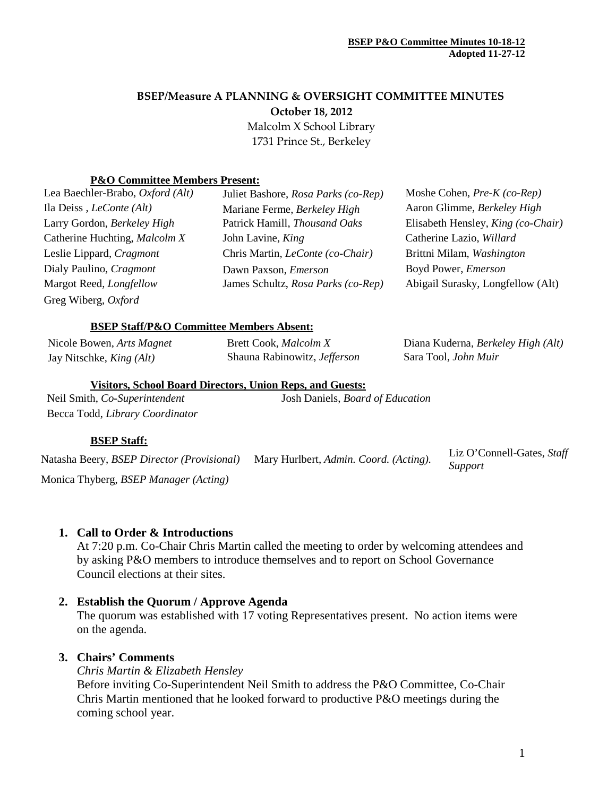# **BSEP/Measure A PLANNING & OVERSIGHT COMMITTEE MINUTES October 18, 2012** Malcolm X School Library 1731 Prince St., Berkeley

### **P&O Committee Members Present:**

| Lea Baechler-Brabo, Oxford (Alt) | Juliet Bashore, Rosa Parks (co-Rep)     | Moshe Cohen, $Pre-K (co-Rep)$      |
|----------------------------------|-----------------------------------------|------------------------------------|
| Ila Deiss, <i>LeConte</i> (Alt)  | Mariane Ferme, Berkeley High            | Aaron Glimme, Berkeley High        |
| Larry Gordon, Berkeley High      | Patrick Hamill, Thousand Oaks           | Elisabeth Hensley, King (co-Chair) |
| Catherine Huchting, Malcolm X    | John Lavine, King                       | Catherine Lazio, Willard           |
| Leslie Lippard, Cragmont         | Chris Martin, <i>LeConte</i> (co-Chair) | Brittni Milam, Washington          |
| Dialy Paulino, Cragmont          | Dawn Paxson, <i>Emerson</i>             | Boyd Power, Emerson                |
| Margot Reed, Longfellow          | James Schultz, Rosa Parks (co-Rep)      | Abigail Surasky, Longfellow (Alt)  |
| Greg Wiberg, Oxford              |                                         |                                    |

### **BSEP Staff/P&O Committee Members Absent:**

| Nicole Bowen, Arts Magnet       | Brett Cook, <i>Malcolm X</i> | Diana Kuderna, Berkeley High (Alt) |
|---------------------------------|------------------------------|------------------------------------|
| Jay Nitschke, <i>King (Alt)</i> | Shauna Rabinowitz, Jefferson | Sara Tool, <i>John Muir</i>        |

#### **Visitors, School Board Directors, Union Reps, and Guests:**

| Neil Smith, Co-Superintendent   | Josh Daniels, Board of Education |
|---------------------------------|----------------------------------|
| Becca Todd, Library Coordinator |                                  |

### **BSEP Staff:**

Natasha Beery, *BSEP Director (Provisional)* Mary Hurlbert, *Admin. Coord. (Acting).* Liz O'Connell-Gates, *Staff Support*

Monica Thyberg, *BSEP Manager (Acting)*

## **1. Call to Order & Introductions**

At 7:20 p.m. Co-Chair Chris Martin called the meeting to order by welcoming attendees and by asking P&O members to introduce themselves and to report on School Governance Council elections at their sites.

### **2. Establish the Quorum / Approve Agenda**

The quorum was established with 17 voting Representatives present. No action items were on the agenda.

### **3. Chairs' Comments**

*Chris Martin & Elizabeth Hensley*

Before inviting Co-Superintendent Neil Smith to address the P&O Committee, Co-Chair Chris Martin mentioned that he looked forward to productive P&O meetings during the coming school year.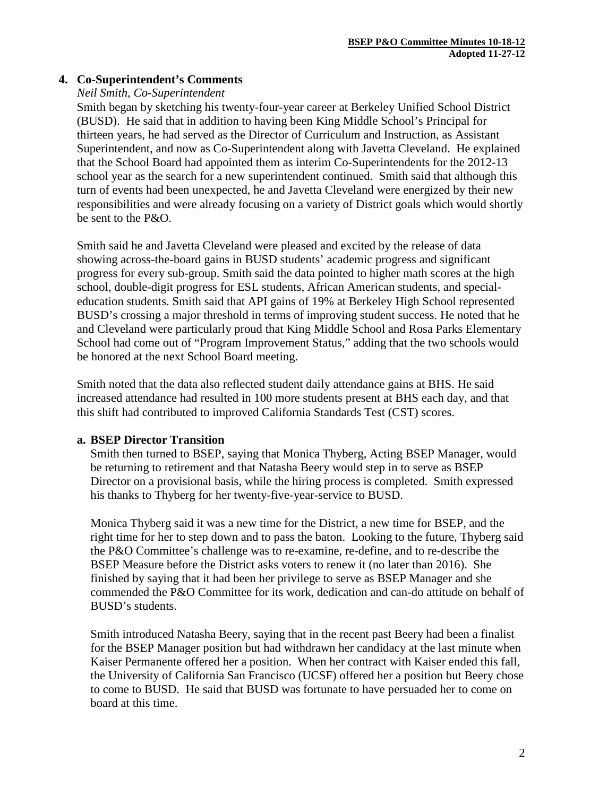# **4. Co-Superintendent's Comments**

## *Neil Smith, Co-Superintendent*

Smith began by sketching his twenty-four-year career at Berkeley Unified School District (BUSD). He said that in addition to having been King Middle School's Principal for thirteen years, he had served as the Director of Curriculum and Instruction, as Assistant Superintendent, and now as Co-Superintendent along with Javetta Cleveland. He explained that the School Board had appointed them as interim Co-Superintendents for the 2012-13 school year as the search for a new superintendent continued. Smith said that although this turn of events had been unexpected, he and Javetta Cleveland were energized by their new responsibilities and were already focusing on a variety of District goals which would shortly be sent to the P&O.

Smith said he and Javetta Cleveland were pleased and excited by the release of data showing across-the-board gains in BUSD students' academic progress and significant progress for every sub-group. Smith said the data pointed to higher math scores at the high school, double-digit progress for ESL students, African American students, and specialeducation students. Smith said that API gains of 19% at Berkeley High School represented BUSD's crossing a major threshold in terms of improving student success. He noted that he and Cleveland were particularly proud that King Middle School and Rosa Parks Elementary School had come out of "Program Improvement Status," adding that the two schools would be honored at the next School Board meeting.

Smith noted that the data also reflected student daily attendance gains at BHS. He said increased attendance had resulted in 100 more students present at BHS each day, and that this shift had contributed to improved California Standards Test (CST) scores.

## **a. BSEP Director Transition**

Smith then turned to BSEP, saying that Monica Thyberg, Acting BSEP Manager, would be returning to retirement and that Natasha Beery would step in to serve as BSEP Director on a provisional basis, while the hiring process is completed. Smith expressed his thanks to Thyberg for her twenty-five-year-service to BUSD.

Monica Thyberg said it was a new time for the District, a new time for BSEP, and the right time for her to step down and to pass the baton. Looking to the future, Thyberg said the P&O Committee's challenge was to re-examine, re-define, and to re-describe the BSEP Measure before the District asks voters to renew it (no later than 2016). She finished by saying that it had been her privilege to serve as BSEP Manager and she commended the P&O Committee for its work, dedication and can-do attitude on behalf of BUSD's students.

Smith introduced Natasha Beery, saying that in the recent past Beery had been a finalist for the BSEP Manager position but had withdrawn her candidacy at the last minute when Kaiser Permanente offered her a position. When her contract with Kaiser ended this fall, the University of California San Francisco (UCSF) offered her a position but Beery chose to come to BUSD. He said that BUSD was fortunate to have persuaded her to come on board at this time.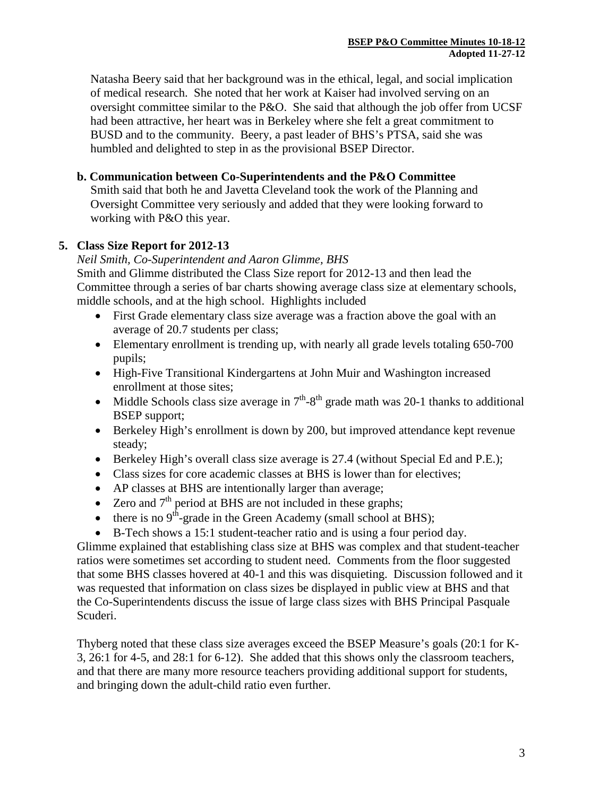Natasha Beery said that her background was in the ethical, legal, and social implication of medical research. She noted that her work at Kaiser had involved serving on an oversight committee similar to the P&O. She said that although the job offer from UCSF had been attractive, her heart was in Berkeley where she felt a great commitment to BUSD and to the community. Beery, a past leader of BHS's PTSA, said she was humbled and delighted to step in as the provisional BSEP Director.

# **b. Communication between Co-Superintendents and the P&O Committee**

Smith said that both he and Javetta Cleveland took the work of the Planning and Oversight Committee very seriously and added that they were looking forward to working with P&O this year.

# **5. Class Size Report for 2012-13**

## *Neil Smith, Co-Superintendent and Aaron Glimme, BHS*

Smith and Glimme distributed the Class Size report for 2012-13 and then lead the Committee through a series of bar charts showing average class size at elementary schools, middle schools, and at the high school. Highlights included

- First Grade elementary class size average was a fraction above the goal with an average of 20.7 students per class;
- Elementary enrollment is trending up, with nearly all grade levels totaling 650-700 pupils;
- High-Five Transitional Kindergartens at John Muir and Washington increased enrollment at those sites;
- Middle Schools class size average in  $7<sup>th</sup> 8<sup>th</sup>$  grade math was 20-1 thanks to additional BSEP support;
- Berkeley High's enrollment is down by 200, but improved attendance kept revenue steady;
- Berkeley High's overall class size average is 27.4 (without Special Ed and P.E.);
- Class sizes for core academic classes at BHS is lower than for electives;
- AP classes at BHS are intentionally larger than average;
- Zero and  $7<sup>th</sup>$  period at BHS are not included in these graphs;
- there is no  $9<sup>th</sup>$ -grade in the Green Academy (small school at BHS);
- B-Tech shows a 15:1 student-teacher ratio and is using a four period day.

Glimme explained that establishing class size at BHS was complex and that student-teacher ratios were sometimes set according to student need. Comments from the floor suggested that some BHS classes hovered at 40-1 and this was disquieting. Discussion followed and it was requested that information on class sizes be displayed in public view at BHS and that the Co-Superintendents discuss the issue of large class sizes with BHS Principal Pasquale Scuderi.

Thyberg noted that these class size averages exceed the BSEP Measure's goals (20:1 for K-3, 26:1 for 4-5, and 28:1 for 6-12). She added that this shows only the classroom teachers, and that there are many more resource teachers providing additional support for students, and bringing down the adult-child ratio even further.